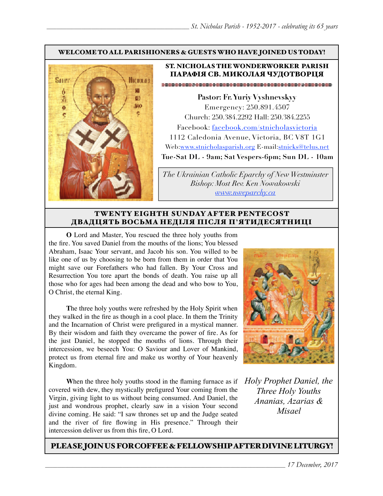#### WELCOME TO ALL PARISHIONERS & GUESTS WHO HAVE JOINED US TODAY!



#### ST. NICHOLAS THE WONDERWORKER PARISH ПАРАФІЯ СВ. МИКОЛАЯ ЧУДОТВОРЦЯ

**Pastor: Fr. Yuriy Vyshnevskyy** Emergency: 250.891.4507 Church: 250.384.2292 Hall: 250.384.2255 Facebook: facebook.com/stnicholasvictoria 1112 Caledonia Avenue, Victoria, BC V8T 1G1 Web[:www.stnicholasparish.org](http://www.stnicholasparish.org) E-mail:[stnicks@telus.net](mailto:stnicks@telus.net) **Tue-Sat DL - 9am; Sat Vespers-6pm; Sun DL - 10am**

*The Ukrainian Catholic Eparchy of New Westminster Bishop: Most Rev. Ken Nowakowski [www.nweparchy.ca](http://www.nweparchy.ca)*

#### TWENTY EIGHTH SUNDAY AFTER PENTECOST ДВАДЦЯТЬ ВОСЬМА НЕДІЛЯ ПІСЛЯ П**'**ЯТИДЕСЯТНИЦІ

**O** Lord and Master, You rescued the three holy youths from the fire. You saved Daniel from the mouths of the lions; You blessed Abraham, Isaac Your servant, and Jacob his son. You willed to be like one of us by choosing to be born from them in order that You might save our Forefathers who had fallen. By Your Cross and Resurrection You tore apart the bonds of death. You raise up all those who for ages had been among the dead and who bow to You, O Christ, the eternal King.

**T**he three holy youths were refreshed by the Holy Spirit when they walked in the fire as though in a cool place. In them the Trinity and the Incarnation of Christ were prefigured in a mystical manner. By their wisdom and faith they overcame the power of fire. As for the just Daniel, he stopped the mouths of lions. Through their intercession, we beseech You: O Saviour and Lover of Mankind, protect us from eternal fire and make us worthy of Your heavenly Kingdom.

When the three holy youths stood in the flaming furnace as if covered with dew, they mystically prefigured Your coming from the Virgin, giving light to us without being consumed. And Daniel, the just and wondrous prophet, clearly saw in a vision Your second divine coming. He said: "I saw thrones set up and the Judge seated and the river of fire flowing in His presence." Through their intercession deliver us from this fire, O Lord.



*Holy Prophet Daniel, the Three Holy Youths Ananias, Azarias & Misael*

PLEASE JOIN US FOR COFFEE & FELLOWSHIP AFTER DIVINE LITURGY!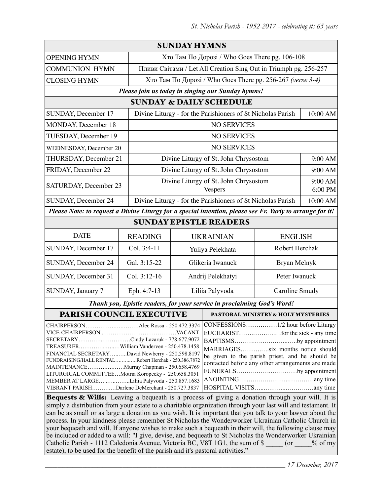| <b>SUNDAY HYMNS</b>                                                                                                                                                                                                                                                                                                                                                                                                                                                                                                                                                                                                                    |                |                                                             |                                                                  |                                                             |                    |  |
|----------------------------------------------------------------------------------------------------------------------------------------------------------------------------------------------------------------------------------------------------------------------------------------------------------------------------------------------------------------------------------------------------------------------------------------------------------------------------------------------------------------------------------------------------------------------------------------------------------------------------------------|----------------|-------------------------------------------------------------|------------------------------------------------------------------|-------------------------------------------------------------|--------------------|--|
| <b>OPENING HYMN</b>                                                                                                                                                                                                                                                                                                                                                                                                                                                                                                                                                                                                                    |                | Хто Там По Дорозі / Who Goes There pg. 106-108              |                                                                  |                                                             |                    |  |
| <b>COMMUNION HYMN</b>                                                                                                                                                                                                                                                                                                                                                                                                                                                                                                                                                                                                                  |                |                                                             | Пливи Світами / Let All Creation Sing Out in Triumph pg. 256-257 |                                                             |                    |  |
| <b>CLOSING HYMN</b>                                                                                                                                                                                                                                                                                                                                                                                                                                                                                                                                                                                                                    |                |                                                             |                                                                  | Хто Там По Дорозі / Who Goes There pg. 256-267 (verse 3-4)  |                    |  |
| Please join us today in singing our Sunday hymns!                                                                                                                                                                                                                                                                                                                                                                                                                                                                                                                                                                                      |                |                                                             |                                                                  |                                                             |                    |  |
| <b>SUNDAY &amp; DAILY SCHEDULE</b>                                                                                                                                                                                                                                                                                                                                                                                                                                                                                                                                                                                                     |                |                                                             |                                                                  |                                                             |                    |  |
| SUNDAY, December 17                                                                                                                                                                                                                                                                                                                                                                                                                                                                                                                                                                                                                    |                | Divine Liturgy - for the Parishioners of St Nicholas Parish |                                                                  |                                                             | 10:00 AM           |  |
| MONDAY, December 18                                                                                                                                                                                                                                                                                                                                                                                                                                                                                                                                                                                                                    |                | <b>NO SERVICES</b>                                          |                                                                  |                                                             |                    |  |
| TUESDAY, December 19                                                                                                                                                                                                                                                                                                                                                                                                                                                                                                                                                                                                                   |                | <b>NO SERVICES</b>                                          |                                                                  |                                                             |                    |  |
| WEDNESDAY, December 20                                                                                                                                                                                                                                                                                                                                                                                                                                                                                                                                                                                                                 |                |                                                             | <b>NO SERVICES</b>                                               |                                                             |                    |  |
| THURSDAY, December 21                                                                                                                                                                                                                                                                                                                                                                                                                                                                                                                                                                                                                  |                | Divine Liturgy of St. John Chrysostom                       |                                                                  |                                                             | 9:00 AM            |  |
| FRIDAY, December 22                                                                                                                                                                                                                                                                                                                                                                                                                                                                                                                                                                                                                    |                |                                                             |                                                                  | Divine Liturgy of St. John Chrysostom                       |                    |  |
| SATURDAY, December 23                                                                                                                                                                                                                                                                                                                                                                                                                                                                                                                                                                                                                  |                |                                                             | Divine Liturgy of St. John Chrysostom<br><b>Vespers</b>          |                                                             | 9:00 AM<br>6:00 PM |  |
| SUNDAY, December 24                                                                                                                                                                                                                                                                                                                                                                                                                                                                                                                                                                                                                    |                |                                                             |                                                                  | Divine Liturgy - for the Parishioners of St Nicholas Parish |                    |  |
| Please Note: to request a Divine Liturgy for a special intention, please see Fr. Yuriy to arrange for it!                                                                                                                                                                                                                                                                                                                                                                                                                                                                                                                              |                |                                                             |                                                                  |                                                             |                    |  |
| <b>SUNDAY EPISTLE READERS</b>                                                                                                                                                                                                                                                                                                                                                                                                                                                                                                                                                                                                          |                |                                                             |                                                                  |                                                             |                    |  |
| <b>DATE</b>                                                                                                                                                                                                                                                                                                                                                                                                                                                                                                                                                                                                                            | <b>READING</b> | <b>UKRAINIAN</b><br><b>ENGLISH</b>                          |                                                                  |                                                             |                    |  |
| SUNDAY, December 17                                                                                                                                                                                                                                                                                                                                                                                                                                                                                                                                                                                                                    | Col. 3:4-11    | Yuliya Pelekhata                                            |                                                                  | Robert Herchak                                              |                    |  |
| SUNDAY, December 24                                                                                                                                                                                                                                                                                                                                                                                                                                                                                                                                                                                                                    | Gal. 3:15-22   | Glikeria Iwanuck                                            |                                                                  | Bryan Melnyk                                                |                    |  |
| SUNDAY, December 31                                                                                                                                                                                                                                                                                                                                                                                                                                                                                                                                                                                                                    | Col. 3:12-16   | Andrij Pelekhatyi                                           |                                                                  | Peter Iwanuck                                               |                    |  |
| SUNDAY, January 7                                                                                                                                                                                                                                                                                                                                                                                                                                                                                                                                                                                                                      | Eph. 4:7-13    | Liliia Palyvoda                                             |                                                                  | Caroline Smudy                                              |                    |  |
| Thank you, Epistle readers, for your service in proclaiming God's Word!                                                                                                                                                                                                                                                                                                                                                                                                                                                                                                                                                                |                |                                                             |                                                                  |                                                             |                    |  |
| PARISH COUNCIL EXECUTIVE                                                                                                                                                                                                                                                                                                                                                                                                                                                                                                                                                                                                               |                |                                                             | PASTORAL MINISTRY & HOLY MYSTERIES                               |                                                             |                    |  |
| CHAIRPERSONAlec Rossa - 250.472.3374<br>CONFESSIONS1/2 hour before Liturgy<br>SECRETARYCindy Lazaruk - 778.677.9072<br>BAPTISMSby appointment<br>MARRIAGESsix months notice should<br>FINANCIAL SECRETARYDavid Newberry - 250.598.8197<br>be given to the parish priest, and he should be<br>FUNDRAISING/HALL RENTALRobert Herchak - 250.386.7872<br>contacted before any other arrangements are made<br>MAINTENANCEMurray Chapman - 250.658.4769<br>FUNERALSby appointment<br>LITURGICAL COMMITTEEMotria Koropecky - 250.658.3051<br>MEMBER AT LARGELiliia Palyvoda - 250.857.1683<br>VIBRANT PARISHDarlene DeMerchant - 250.727.3837 |                |                                                             |                                                                  |                                                             |                    |  |
| Bequests & Wills: Leaving a bequeath is a process of giving a donation through your will. It is                                                                                                                                                                                                                                                                                                                                                                                                                                                                                                                                        |                |                                                             |                                                                  |                                                             |                    |  |

simply a distribution from your estate to a charitable organization through your last will and testament. It can be as small or as large a donation as you wish. It is important that you talk to your lawyer about the process. In your kindness please remember St Nicholas the Wonderworker Ukrainian Catholic Church in your bequeath and will. If anyone wishes to make such a bequeath in their will, the following clause may be included or added to a will: "I give, devise, and bequeath to St Nicholas the Wonderworker Ukrainian Catholic Parish - 1112 Caledonia Avenue, Victoria BC, V8T 1G1, the sum of \$  $\qquad \qquad$  (or  $\qquad \qquad$  % of my estate), to be used for the benefit of the parish and it's pastoral activities."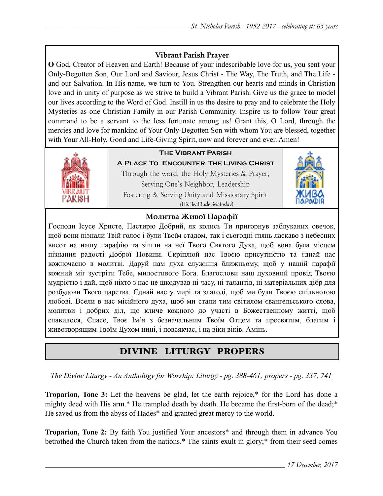### **Vibrant Parish Prayer**

**O** God, Creator of Heaven and Earth! Because of your indescribable love for us, you sent your Only-Begotten Son, Our Lord and Saviour, Jesus Christ - The Way, The Truth, and The Life and our Salvation. In His name, we turn to You. Strengthen our hearts and minds in Christian love and in unity of purpose as we strive to build a Vibrant Parish. Give us the grace to model our lives according to the Word of God. Instill in us the desire to pray and to celebrate the Holy Mysteries as one Christian Family in our Parish Community. Inspire us to follow Your great command to be a servant to the less fortunate among us! Grant this, O Lord, through the mercies and love for mankind of Your Only-Begotten Son with whom You are blessed, together with Your All-Holy, Good and Life-Giving Spirit, now and forever and ever. Amen!



## **The Vibrant Parish**

**A Place To Encounter The Living Christ** Through the word, the Holy Mysteries & Prayer, Serving One's Neighbor, Leadership Fostering & Serving Unity and Missionary Spirit (His Beatitude Sviatoslav)



#### **Молитва Живої Парафії**

**Г**осподи Ісусе Христе, Пастирю Добрий, як колись Ти пригорнув заблуканих овечок, щоб вони пізнали Твій голос і були Твоїм стадом, так і сьогодні глянь ласкаво з небесних висот на нашу парафію та зішли на неї Твого Святого Духа, щоб вона була місцем пізнання радості Доброї Новини. Скріплюй нас Твоєю присутністю та єднай нас кожночасно в молитві. Даруй нам духа служіння ближньому, щоб у нашій парафії кожний міг зустріти Тебе, милостивого Бога. Благослови наш духовний провід Твоєю мудрістю і дай, щоб ніхто з нас не шкодував ні часу, ні талантів, ні матеріальних дібр для розбудови Твого царства. Єднай нас у мирі та злагоді, щоб ми були Твоєю спільнотою любові. Всели в нас місійного духа, щоб ми стали тим світилом євангельського слова, молитви і добрих діл, що кличе кожного до участі в Божественному житті, щоб славилося, Спасе, Твоє Ім'я з безначальним Твоїм Отцем та пресвятим, благим і животворящим Твоїм Духом нині, і повсякчас, і на віки віків. Амінь.

## DIVINE LITURGY PROPERS

*The Divine Liturgy - An Anthology for Worship: Liturgy - pg. 388-461; propers - pg. 337, 741* 

**Troparion, Tone 3:** Let the heavens be glad, let the earth rejoice,\* for the Lord has done a mighty deed with His arm.\* He trampled death by death. He became the first-born of the dead;\* He saved us from the abyss of Hades\* and granted great mercy to the world.

**Troparion, Tone 2:** By faith You justified Your ancestors\* and through them in advance You betrothed the Church taken from the nations.\* The saints exult in glory;\* from their seed comes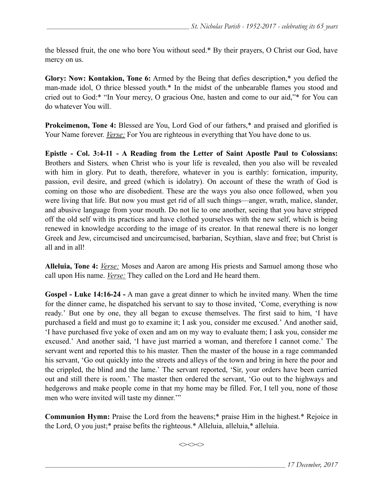the blessed fruit, the one who bore You without seed.\* By their prayers, O Christ our God, have mercy on us.

**Glory: Now: Kontakion, Tone 6:** Armed by the Being that defies description,\* you defied the man-made idol, O thrice blessed youth.\* In the midst of the unbearable flames you stood and cried out to God:\* "In Your mercy, O gracious One, hasten and come to our aid,"\* for You can do whatever You will.

**Prokeimenon, Tone 4:** Blessed are You, Lord God of our fathers,\* and praised and glorified is Your Name forever. *Verse:* For You are righteous in everything that You have done to us.

**Epistle - Col. 3:4-11 - A Reading from the Letter of Saint Apostle Paul to Colossians:** Brothers and Sisters*,* when Christ who is your life is revealed, then you also will be revealed with him in glory. Put to death, therefore, whatever in you is earthly: fornication, impurity, passion, evil desire, and greed (which is idolatry). On account of these the wrath of God is coming on those who are disobedient. These are the ways you also once followed, when you were living that life. But now you must get rid of all such things—anger, wrath, malice, slander, and abusive language from your mouth. Do not lie to one another, seeing that you have stripped off the old self with its practices and have clothed yourselves with the new self, which is being renewed in knowledge according to the image of its creator. In that renewal there is no longer Greek and Jew, circumcised and uncircumcised, barbarian, Scythian, slave and free; but Christ is all and in all!

**Alleluia, Tone 4:** *Verse:* Moses and Aaron are among His priests and Samuel among those who call upon His name. *Verse:* They called on the Lord and He heard them.

**Gospel - Luke 14:16-24 -** A man gave a great dinner to which he invited many. When the time for the dinner came, he dispatched his servant to say to those invited, 'Come, everything is now ready.' But one by one, they all began to excuse themselves. The first said to him, 'I have purchased a field and must go to examine it; I ask you, consider me excused.' And another said, 'I have purchased five yoke of oxen and am on my way to evaluate them; I ask you, consider me excused.' And another said, 'I have just married a woman, and therefore I cannot come.' The servant went and reported this to his master. Then the master of the house in a rage commanded his servant, 'Go out quickly into the streets and alleys of the town and bring in here the poor and the crippled, the blind and the lame.' The servant reported, 'Sir, your orders have been carried out and still there is room.' The master then ordered the servant, 'Go out to the highways and hedgerows and make people come in that my home may be filled. For, I tell you, none of those men who were invited will taste my dinner.'"

**Communion Hymn:** Praise the Lord from the heavens;\* praise Him in the highest.\* Rejoice in the Lord, O you just;\* praise befits the righteous.\* Alleluia, alleluia,\* alleluia.

 $\iff$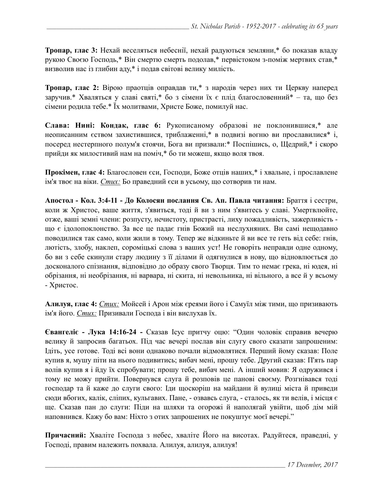**Тропар, глас 3:** Нехай веселяться небеснії, нехай радуються земляни,\* бо показав владу рукою Своєю Господь,\* Він смертю смерть подолав,\* первістоком з-поміж мертвих став,\* визволив нас із глибин аду,\* і подав світові велику милість.

**Тропар, глас 2:** Вірою праотців оправдав ти,\* з народів через них ти Церкву наперед заручив.\* Хваляться у славі святі,\* бо з сімени їх є плід благословенний\* – та, що без сімени родила тебе.\* Їх молитвами, Христе Боже, помилуй нас.

**Слава: Нині: Кондак, глас 6:** Рукописаному образові не поклонившися,\* але неописанним єством захистившися, триблаженні,\* в подвизі вогню ви прославилися\* і, посеред нестерпного полум'я стоячи, Бога ви призвали:\* Поспішись, о, Щедрий,\* і скоро прийди як милостивий нам на поміч,\* бо ти можеш, якщо воля твоя.

**Прокімен, глас 4:** Благословен єси, Господи, Боже отців наших,\* і хвальне, і прославлене ім'я твоє на віки. *Стих:* Бо праведний єси в усьому, що сотворив ти нам.

**Апостол - Кoл. 3:4-11 - До Колосян послання Св. Ап. Павла читання:** Браття і сестри, коли ж Христос, ваше життя, з'явиться, тоді й ви з ним з'явитесь у славі. Умертвлюйте, отже, ваші земні члени: розпусту, нечистоту, пристрасті, лиху пожадливість, зажерливість що є ідолопоклонство. За все це падає гнів Божий на неслухняних. Ви самі нещодавно поводилися так само, коли жили в тому. Тепер же відкиньте й ви все те геть від себе: гнів, лютість, злобу, наклеп, сороміцькі слова з ваших уст! Не говоріть неправди одне одному, бо ви з себе скинули стару людину з її ділами й одягнулися в нову, що відновлюється до досконалого спізнання, відповідно до образу свого Творця. Тим то немає грека, ні юдея, ні обрізання, ні необрізання, ні варвара, ні скита, ні невольника, ні вільного, а все й у всьому - Христос.

**Алилуя, глас 4:** *Стих:* Мойсей і Арон між єреями його і Самуїл між тими, що призивають ім'я його. *Стих:* Призивали Господа і він вислухав їх.

**Євангеліє - Лука 14:16-24 -** Сказав Ісус притчу оцю: "Один чоловік справив вечерю велику й запросив багатьох. Під час вечері послав він слугу свого сказати запрошеним: Ідіть, усе готове. Тоді всі вони однаково почали відмовлятися. Перший йому сказав: Поле купив я, мушу піти на нього подивитись; вибач мені, прошу тебе. Другий сказав: П'ять пар волів купив я і йду їх спробувати; прошу тебе, вибач мені. А інший мовив: Я одружився і тому не можу прийти. Повернувся слуга й розповів це панові своєму. Розгнівався тоді господар та й каже до слуги свого: Іди щоскоріш на майдани й вулиці міста й приведи сюди вбогих, калік, сліпих, кульгавих. Пане, - озвавсь слуга, - сталось, як ти велів, і місця є ще. Сказав пан до слуги: Піди на шляхи та огорожі й наполягай увійти, щоб дім мій наповнився. Кажу бо вам: Ніхто з отих запрошених не покуштує моєї вечері."

**Причасний:** Хваліте Господа з небес, хваліте Його на висотах. Радуйтеся, праведні, у Господі, правим належить похвала. Алилуя, алилуя, алилуя!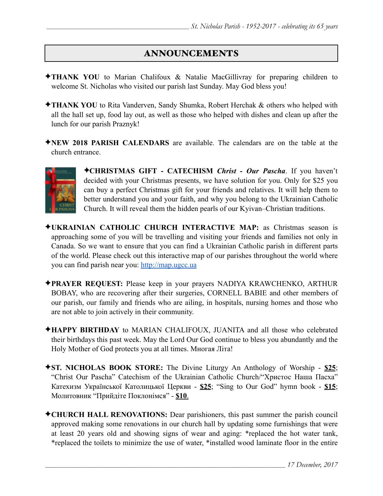## ANNOUNCEMENTS

- ✦**THANK YOU** to Marian Chalifoux & Natalie MacGillivray for preparing children to welcome St. Nicholas who visited our parish last Sunday. May God bless you!
- ✦**THANK YOU** to Rita Vanderven, Sandy Shumka, Robert Herchak & others who helped with all the hall set up, food lay out, as well as those who helped with dishes and clean up after the lunch for our parish Praznyk!
- ✦**NEW 2018 PARISH CALENDARS** are available. The calendars are on the table at the church entrance.



✦**CHRISTMAS GIFT - CATECHISM** *Christ - Our Pascha*. If you haven't decided with your Christmas presents, we have solution for you. Only for \$25 you can buy a perfect Christmas gift for your friends and relatives. It will help them to better understand you and your faith, and why you belong to the Ukrainian Catholic Church. It will reveal them the hidden pearls of our Kyivan–Christian traditions.

- ✦**UKRAINIAN CATHOLIC CHURCH INTERACTIVE MAP:** as Christmas season is approaching some of you will be travelling and visiting your friends and families not only in Canada. So we want to ensure that you can find a Ukrainian Catholic parish in different parts of the world. Please check out this interactive map of our parishes throughout the world where you can find parish near you: [http://map.ugcc.ua](http://map.ugcc.ua/)
- ✦**PRAYER REQUEST:** Please keep in your prayers NADIYA KRAWCHENKO, ARTHUR BOBAY, who are recovering after their surgeries, CORNELL BABIE and other members of our parish, our family and friends who are ailing, in hospitals, nursing homes and those who are not able to join actively in their community.
- ✦**HAPPY BIRTHDAY** to MARIAN CHALIFOUX, JUANITA and all those who celebrated their birthdays this past week. May the Lord Our God continue to bless you abundantly and the Holy Mother of God protects you at all times. Многая Літа!
- ✦**ST. NICHOLAS BOOK STORE:** The Divine Liturgy An Anthology of Worship **\$25**; "Christ Our Pascha" Catechism of the Ukrainian Catholic Church/"Христос Наша Пасха" Катехизм Української Католицької Церкви - **\$25**; "Sing to Our God" hymn book - **\$15**; Молитовник "Прийдіте Поклонімся" - **\$10**.
- ✦**CHURCH HALL RENOVATIONS:** Dear parishioners, this past summer the parish council approved making some renovations in our church hall by updating some furnishings that were at least 20 years old and showing signs of wear and aging: \*replaced the hot water tank, \*replaced the toilets to minimize the use of water, \*installed wood laminate floor in the entire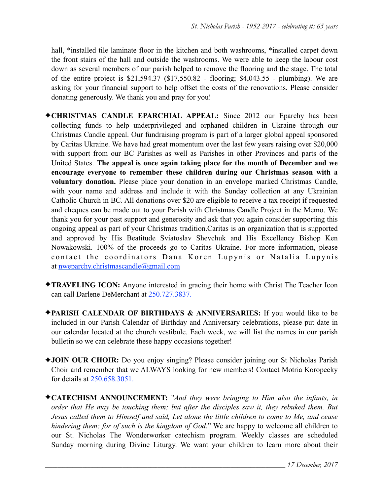hall, \*installed tile laminate floor in the kitchen and both washrooms, \*installed carpet down the front stairs of the hall and outside the washrooms. We were able to keep the labour cost down as several members of our parish helped to remove the flooring and the stage. The total of the entire project is \$21,594.37 (\$17,550.82 - flooring; \$4,043.55 - plumbing). We are asking for your financial support to help offset the costs of the renovations. Please consider donating generously. We thank you and pray for you!

- ✦**CHRISTMAS CANDLE EPARCHIAL APPEAL:** Since 2012 our Eparchy has been collecting funds to help underprivileged and orphaned children in Ukraine through our Christmas Candle appeal. Our fundraising program is part of a larger global appeal sponsored by Caritas Ukraine. We have had great momentum over the last few years raising over \$20,000 with support from our BC Parishes as well as Parishes in other Provinces and parts of the United States. **The appeal is once again taking place for the month of December and we encourage everyone to remember these children during our Christmas season with a voluntary donation.** Please place your donation in an envelope marked Christmas Candle, with your name and address and include it with the Sunday collection at any Ukrainian Catholic Church in BC. All donations over \$20 are eligible to receive a tax receipt if requested and cheques can be made out to your Parish with Christmas Candle Project in the Memo. We thank you for your past support and generosity and ask that you again consider supporting this ongoing appeal as part of your Christmas tradition.Caritas is an organization that is supported and approved by His Beatitude Sviatoslav Shevchuk and His Excellency Bishop Ken Nowakowski. 100% of the proceeds go to Caritas Ukraine. For more information, please contact the coordinators Dana Koren Lupynis or Natalia Lupynis at [nweparchy.christmascandle@gmail.com](mailto:nweparchy.christmascandle@gmail.com)
- ✦**TRAVELING ICON:** Anyone interested in gracing their home with Christ The Teacher Icon can call Darlene DeMerchant at 250.727.3837.
- ✦**PARISH CALENDAR OF BIRTHDAYS & ANNIVERSARIES:** If you would like to be included in our Parish Calendar of Birthday and Anniversary celebrations, please put date in our calendar located at the church vestibule. Each week, we will list the names in our parish bulletin so we can celebrate these happy occasions together!
- ✦**JOIN OUR CHOIR:** Do you enjoy singing? Please consider joining our St Nicholas Parish Choir and remember that we ALWAYS looking for new members! Contact Motria Koropecky for details at 250.658.3051.
- ✦**CATECHISM ANNOUNCEMENT:** "*And they were bringing to Him also the infants, in order that He may be touching them; but after the disciples saw it, they rebuked them. But Jesus called them to Himself and said, Let alone the little children to come to Me, and cease hindering them; for of such is the kingdom of God*." We are happy to welcome all children to our St. Nicholas The Wonderworker catechism program. Weekly classes are scheduled Sunday morning during Divine Liturgy. We want your children to learn more about their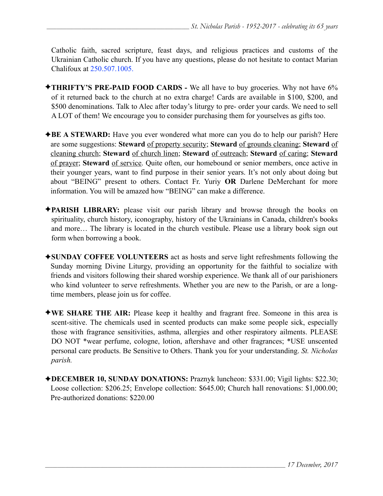Catholic faith, sacred scripture, feast days, and religious practices and customs of the Ukrainian Catholic church. If you have any questions, please do not hesitate to contact Marian Chalifoux at 250.507.1005.

- ✦**THRIFTY'S PRE-PAID FOOD CARDS** We all have to buy groceries. Why not have 6% of it returned back to the church at no extra charge! Cards are available in \$100, \$200, and \$500 denominations. Talk to Alec after today's liturgy to pre- order your cards. We need to sell A LOT of them! We encourage you to consider purchasing them for yourselves as gifts too.
- ◆**BE A STEWARD:** Have you ever wondered what more can you do to help our parish? Here are some suggestions: **Steward** of property security; **Steward** of grounds cleaning; **Steward** of cleaning church; **Steward** of church linen; **Steward** of outreach; **Steward** of caring; **Steward** of prayer; **Steward** of service. Quite often, our homebound or senior members, once active in their younger years, want to find purpose in their senior years. It's not only about doing but about "BEING" present to others. Contact Fr. Yuriy **OR** Darlene DeMerchant for more information. You will be amazed how "BEING" can make a difference.
- ✦**PARISH LIBRARY:** please visit our parish library and browse through the books on spirituality, church history, iconography, history of the Ukrainians in Canada, children's books and more… The library is located in the church vestibule. Please use a library book sign out form when borrowing a book.
- ✦**SUNDAY COFFEE VOLUNTEERS** act as hosts and serve light refreshments following the Sunday morning Divine Liturgy, providing an opportunity for the faithful to socialize with friends and visitors following their shared worship experience. We thank all of our parishioners who kind volunteer to serve refreshments. Whether you are new to the Parish, or are a longtime members, please join us for coffee.
- ✦**WE SHARE THE AIR:** Please keep it healthy and fragrant free. Someone in this area is scent-sitive. The chemicals used in scented products can make some people sick, especially those with fragrance sensitivities, asthma, allergies and other respiratory ailments. PLEASE DO NOT \*wear perfume, cologne, lotion, aftershave and other fragrances; \*USE unscented personal care products. Be Sensitive to Others. Thank you for your understanding. *St. Nicholas parish.*
- ✦**DECEMBER 10, SUNDAY DONATIONS:** Praznyk luncheon: \$331.00; Vigil lights: \$22.30; Loose collection: \$206.25; Envelope collection: \$645.00; Church hall renovations: \$1,000.00; Pre-authorized donations: \$220.00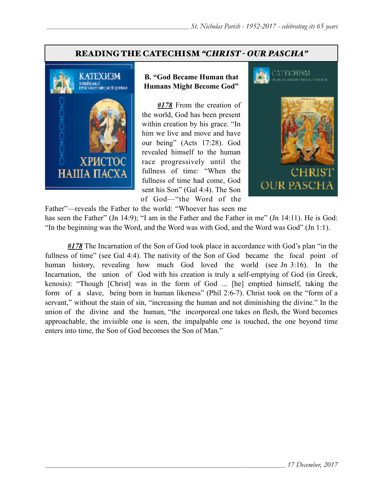#### READING THE CATECHISM *"CHRIST - OUR PASCHA"*



#### **B. "God Became Human that Humans Might Become God"**

*#178* From the creation of the world, God has been present within creation by his grace. "In him we live and move and have our being" (Acts 17:28). God revealed himself to the human race progressively until the fullness of time: "When the fullness of time had come, God sent his Son" (Gal 4:4). The Son of God—"the Word of the



Father"—reveals the Father to the world: "Whoever has seen me

has seen the Father" (Jn 14:9); "I am in the Father and the Father in me" (Jn 14:11). He is God: "In the beginning was the Word, and the Word was with God, and the Word was God" (Jn 1:1).

*#178* The Incarnation of the Son of God took place in accordance with God's plan "in the fullness of time" (see Gal 4:4). The nativity of the Son of God became the focal point of human history, revealing how much God loved the world (see Jn 3:16). In the Incarnation, the union of God with his creation is truly a self-emptying of God (in Greek, kenosis): "Though [Christ] was in the form of God ... [he] emptied himself, taking the form of a slave, being born in human likeness" (Phil 2:6-7). Christ took on the "form of a servant," without the stain of sin, "increasing the human and not diminishing the divine." In the union of the divine and the human, "the incorporeal one takes on flesh, the Word becomes approachable, the invisible one is seen, the impalpable one is touched, the one beyond time enters into time, the Son of God becomes the Son of Man."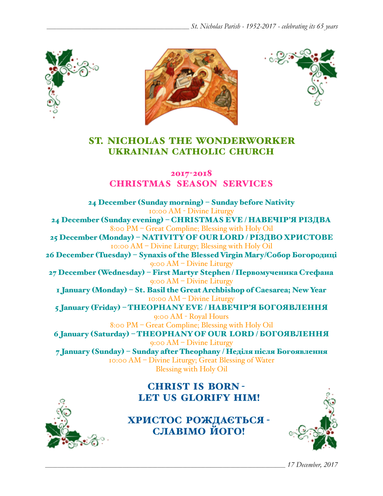





# ST. NICHOLAS THE WONDERWORKER UKRAINIAN CATHOLIC CHURCH

2017-2018 CHRISTMAS SEASON SERVICES

24 December (Sunday morning) – Sunday before Nativity 10:00 AM - Divine Liturgy 24 December (Sunday evening) – CHRISTMAS EVE / НАВЕЧІР'Я РІЗДВА 8:00 PM – Great Compline; Blessing with Holy Oil 25 December (Monday) – NATIVITY OF OUR LORD / РІЗДВO ХРИСТОВЕ 10:00 AM – Divine Liturgy; Blessing with Holy Oil 26 December (Tuesday) – Synaxis of the Blessed Virgin Mary/Собор Богородиці 9:00 AM – Divine Liturgy 27 December (Wednesday) – First Martyr Stephen / Первомученика Стефана 9:00 AM – Divine Liturgy 1 January (Monday) – St. Basil the Great Archbishop of Caesarea; New Year 10:00 AM – Divine Liturgy 5 January (Friday) – THEOPHANY EVE / НАВЕЧІР'Я БОГОЯВЛЕННЯ 9:00 AM - Royal Hours 8:00 PM – Great Compline; Blessing with Holy Oil 6 January (Saturday) – THEOPHANY OF OUR LORD / БОГОЯВЛЕННЯ 9:00 AM – Divine Liturgy 7 January (Sunday) – Sunday after Theophany / Неділя після Богоявлення 10:00 AM – Divine Liturgy; Great Blessing of Water Blessing with Holy Oil

# CHRIST IS BORN - LET US GLORIFY HIM!



ХРИСТОС РОЖДАЄТЬСЯ - СЛАВІМО ЙОГО!



*\_\_\_\_\_\_\_\_\_\_\_\_\_\_\_\_\_\_\_\_\_\_\_\_\_\_\_\_\_\_\_\_\_\_\_\_\_\_\_\_\_\_\_\_\_\_\_\_\_\_\_\_\_\_\_\_\_\_\_\_\_\_\_\_\_\_\_\_\_\_\_\_\_\_\_\_\_\_\_\_\_\_\_\_\_\_\_\_\_\_\_\_\_\_\_\_ 17 December, 2017*